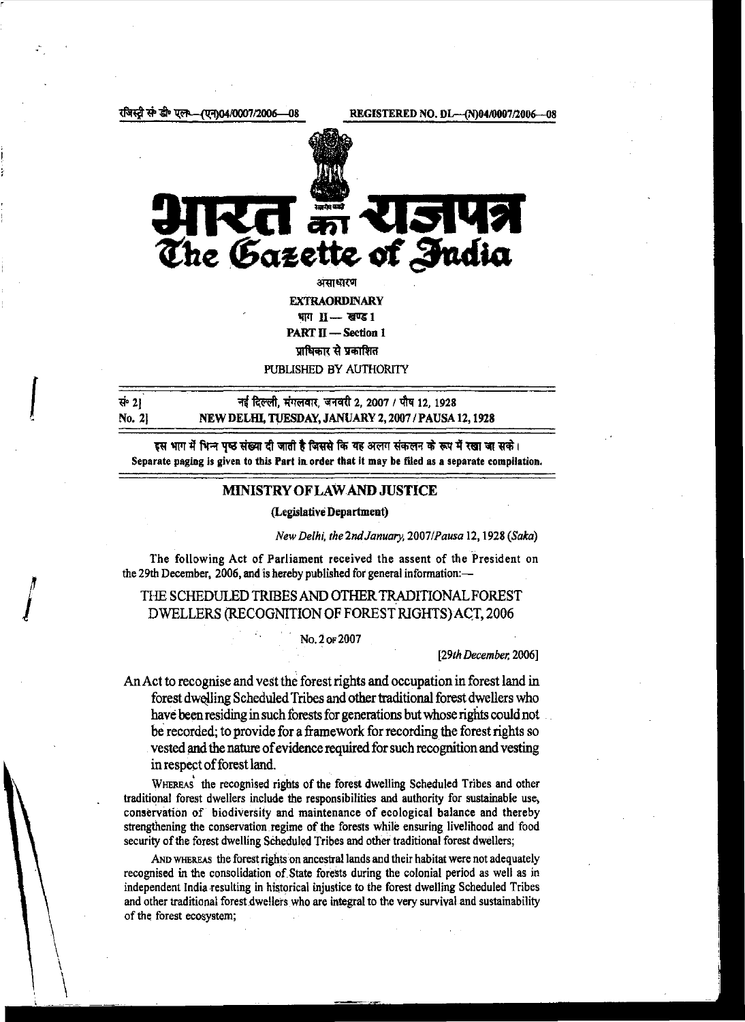स्टी से डी॰ पल **/U7\04/0007/2006** -08

*{* 

 $\int$ 

 $\setminus$  $\setminus$ 



असाधारण

**EXTRAORDINARY** भाग II -- खण्ड 1 PART II - Section 1

~"~ PUBLISHED BY AUTHORITY

 $\vec{R}$  2] No. 2] गई दिल्ली. मंगलवार. जनवरी 2, 2007 / पौष 12, 1928 NEW DELIIl, TUESDAY, JANUARY 2, 2007/PAUSA12, 1928

इस भाग में भिन्न पृष्ठ संख्या दी जाती है जिससे कि यह अलग संकलन के रूप में रखा जा सके। Separate paging is given to this Part in order that it may be filed as a separate compilation.

### MINISTRY OF LAW AND JUSTICE

#### (Legislative Department)

*New Delhi, the2ndJanuary, 2007/Pausa* 12, 1928 *(Saka)* 

The following Act of Parliament received the assent of the President on the 29th December, 2006, and is hereby published for general information:-

## THE SCHEDULED TRIBES AND OTHER TRADITIONAL FOREST DWELLERS (RECOGNITION OF FOREST RIGHTS) ACT, 2006

No.2oF2007

### *[29th December.* 2006]

An Act to recognise and vest the forest rights and occupation in forest land in forest dwelling Scheduled Tribes and other traditional forest dwellers who have been residing in such forests for generations but whose rights could not be recorded; to provide for a framework for recording the forest rights so vested and the nature of evidence required for such recognition and vesting in respect of forest land.<br>WHEREAS the recognised rights of the forest dwelling Scheduled Tribes and other

traditional forest dwellers include the responsibilities and authority for sustainable use, conservation of biodiversity and maintenance of ecological balance and thereby strengthening the conservation regime of the forests while ensuring livelihood and food security of the forest dwelling Scheduled Tribes and other traditional forest dwellers;

AND WHEREAS the forest rights on ancestral lands and their habitat were not adequately recognised in the consolidation of.State forests during the colonial period as well as in independent India resulting in historical injustice to the forest dwelling Scheduled Tribes and other traditional forest dwellers who are integral to the very survival and sustainability of the forest ecosystem;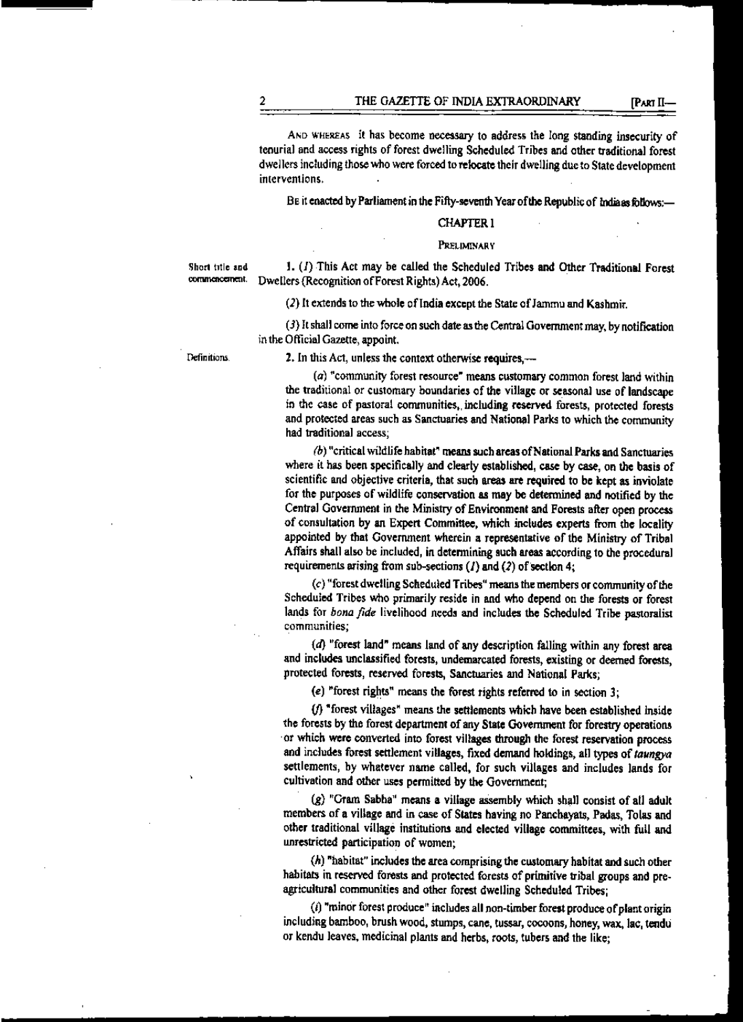AND WHEREAS it has become necessary to address the long standing insecurity of tenurial and access rights of forest dwelling Scheduled Tribes and other traditional forest dwellers including those who were forced to relocate their dwelling due to State development interventions.

BE it enacted by Parliament in the Fifty-seventh Year of the Republic of Indiaas follows:-

## CHAPTER 1

#### PRELIMINARY

Short title and  $\mathbf{I}$ . (*I*) This Act may be called the Scheduled Tribes and Other Traditional Forest commencement. Divelbers (Recognition of Forest Riphts) Act 2006 Dwellers (Recognition of Forest Rights) Act, 2006.

(2) It extends to the whole of India except the State of Jammu and Kashmir.

 $(3)$  It shall come into force on such date as the Central Government may, by notification in the Official Gazette, appoint.

Definitions

2. In this Act, unless the context otherwise requires,---

(a) "community forest resource" means customary common forest land within the traditional or customary boundaries of the village or seasonal use of landscape in the case of pastoral communities,, including reserwd forests, protected forests and protected areas such as Sanctuaries and National Parks to which the community had traditional access;

*(b)* "critical wildlife habitat" means such areas of National Parks and Sanctuaries where it has been specifically and clearly established, case by case, on the basis of scientific and objective criteria, that such areas are required to be kept as inviolate for the purposes of wildlife conservation as may be determined and ootified by the Central Government in the Ministry of Environment and Forests after open process. of consultation by an Expert Committee, which includes experts from the locality appointed by that Government wherein a representative of the Ministry of Tribal Affairs shall also be included, in detcnnining such areas according to the procedural requirements arising from sub-sections  $(1)$  and  $(2)$  of section 4;

(c) "forest dwelling Scheduled Tribes" meam the members or community of the Scheduled Tribes who primarily reside in and who depend on the forests or forest lands for *bona fide* livelihood needs and includes the Scheduled Tribe pastoralist communities;

 $(d)$  "forest land" means land of any description falling within any forest area and includes unclassified forests, undemarcated forests, existing or deemed forests, protected forests, reserved forests, Sanctuaries and National Parks;

(e) "forest rights" means the forest rights referred to in section 3;

(/}"forest villages" means the settlements which have been established inside the forests by the forest department of any State Government for forestry operations ·or which were converted into forest villages through the forest reservation process and includes forest settlement villages, fixed demand holdings, all types of taungya settlements, by whatever name called, for such villages and includes lands for cultivation and other uses permitted by the Government;

(g) "Gram Sabha" means a village assembly which shall consist of all adult members of a village and in case of States having no Pancbayats, Padas, Tolas and other traditional village institutions and elected village committees, with full and unrestricted participation of women;

 $(h)$  "habitat" includes the area comprising the customary habitat and such other habitats in reserved forests and protected forests of primitive tribal groups and preagricultural communities and other forest dwelling Scheduled Tribes;

(i) "minor forest produce" includes all non-timber forest produce of plant origin including bamboo, brush wood, stumps, cane, tussar, cocoons, honey, wax, lac, tendu or kendu leaves, medicinal plants and herbs, roots, tubers and the like;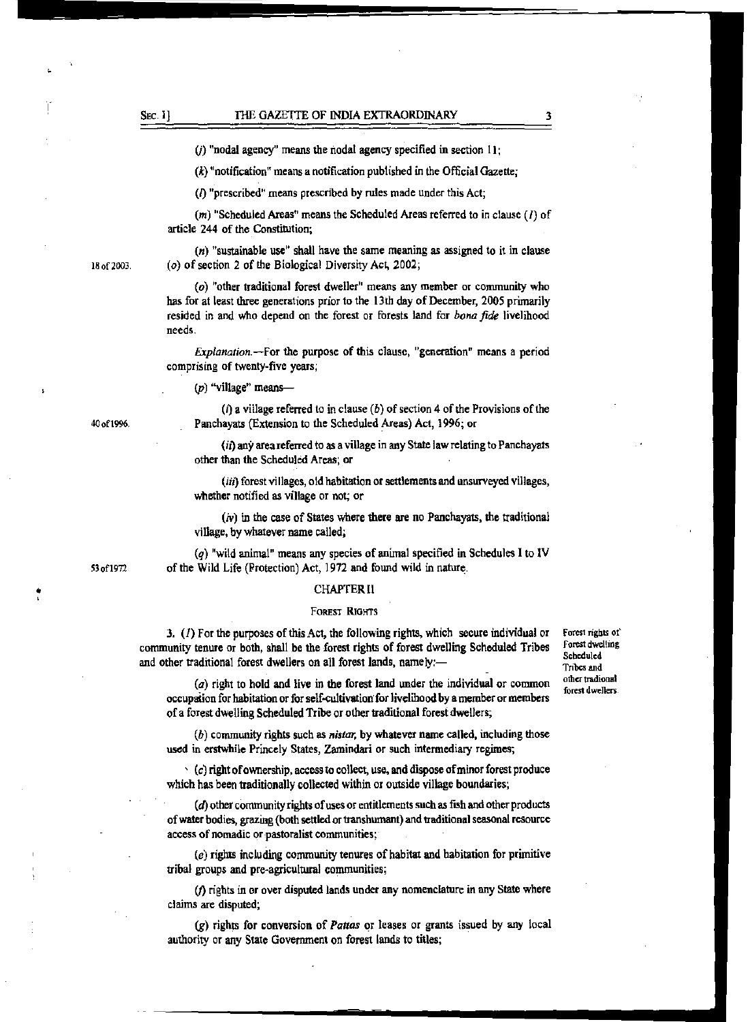### SEC. I) THE GAZETTE OF INDIA EXTRAORDINARY

 $(j)$  "nodal agency" means the nodal agency specified in section 11;

 $(k)$  "notification" means a notification published in the Official Gazette;

(/)"prescribed" means prescribed by rules made under this Act;

 $(m)$  "Scheduled Areas" means the Scheduled Areas referred to in clause (1) of article 244 of the Constitution;

(n) "sustainable use" shall have the same meaning as assigned to it in clause (o) of section 2 of the Biological Diversity Act, 2002;

(o) "other traditional forest dweller" means any member or community who has for at least three generations prior to the l 3th day of December, 2005 primarily resided in and who depend on the forest or forests land for *bona fide* livelihood needs.

*Explanation.-For* the purpose of this clause, "generation" means a period comprising of twenty-five years;

 $(p)$  "village" means-

(i) a village referred to in clause  $(b)$  of section 4 of the Provisions of the Panchayats (Extension to the Scheduled Areas) Act, 1996; or

(i1) any area referred to as a village in any State law relating to Panchayats other than the Scheduled Areas; or

(iii) forest villages, old habitation or settlements and unsurveyed villages, whether notified as village or not; or

 $(v)$  in the case of States where there are no Panchayats, the traditional village, by whatever name called;

(q) "wild animal" means any species of animal specified in Schedules I to IV of the Wild Life (Protection) Act, 1972 and found wild in nature:.

#### CHAPTERll

#### fOREST RIOHTS

3. (1) For the purposes of this Act, the following rights, which secure individual or community tenure or both, shall be the forest rights of forest dwelling Scheduled Tribes and other traditional forest dwellers on all forest lands, namely:-

 $(a)$  right to hold and live in the forest land under the individual or common occupation for habitation or for self-cultivation for livelihood by a member or members of a forest dwelling Scheduled Tribe or other traditional forest dwellers;

(b) community rights such as *nistm;* by whatever name called, including those used in erstwhile Princely States, Zamindari or such intermediary regimes;

 $\cdot$  (c) right of ownership, access to collect, use, and dispose of minor forest produce which has been traditionally collected within or outside village boundaries;

(d) other community rights of uses or entitlements such as fish and other products of water bodies, grazing {both settled or transhumant) and traditional seasonal resource access of nomadic or pastoralist communities;

(e) rights including community tenures of habitat and habitation for primitive tribal groups and pre-agricultural communities;

(j) rights in or over disputed lands under any nomenclature in any State where claims are disputed;

(g) rights for conversion of *Pattas* or leases or grants issued by any local authority or any State Government on forest lands to titles;

Forest rights of Forest dwe\!ing **Scheduled** Tribes and other tradional forest dwellers.

40of\996.

S3ofl972

•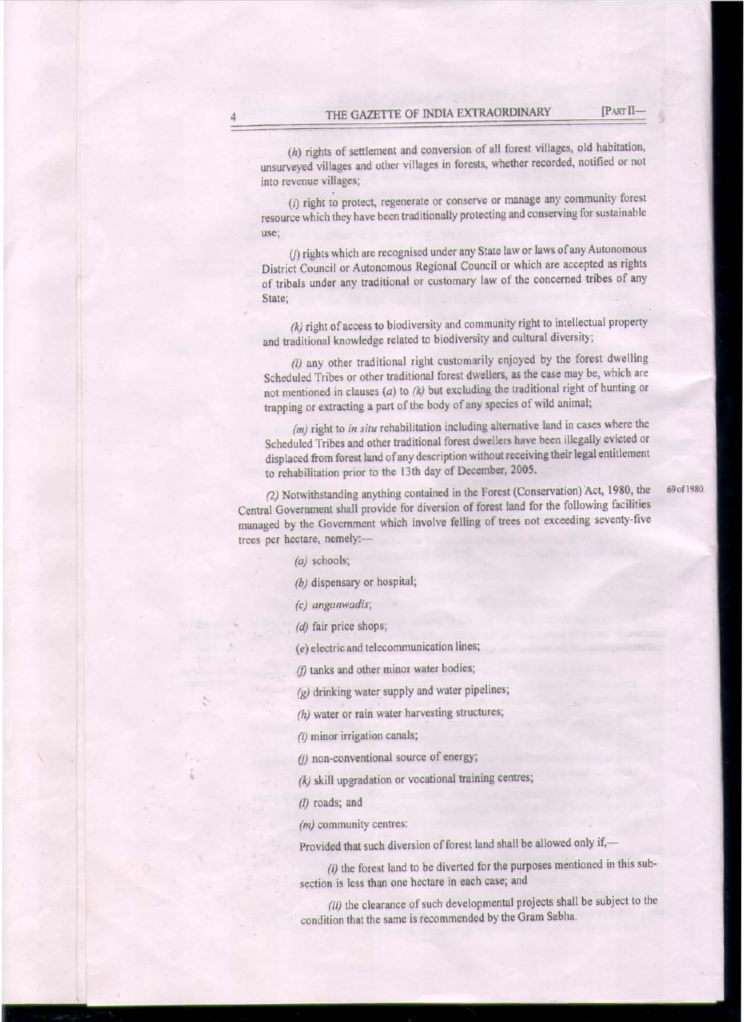(h) rights of settlement and conversion of all forest villages, old habitation, unsurveyed villages and other villages in forests, whether recorded, notified or not into revenue villages;

 $(i)$  right to protect, regenerate or conserve or manage any community forest resource which they have been traditionally protecting and conserving for sustainable use;

(j) rights which are recognised under any State law or laws of any Autonomous District Council or Autonomous Regional Council or which are accepted as rights of tribals under any traditional or customary law of the concerned tribes of any State;

*(k)* right of access to biodiversity and community right to intellectual property and traditional knowledge related to biodiversity and cultural diversity;

*(/)* any other traditional right customarily enjoyed by the forest dwelling Scheduled Tribes or other traditional forest dwellers, as the case may be, which are not mentioned in clauses (a) to *(k)* but excluding the traditional right of hunting or trapping or extracting a part of the body of any species of wild animal;

*(m)* right to *in situ* rehabilitation including alternative land in cases where the Scheduled Tribes and other traditional forest dwellers have been illegally evicted or displaced from forest land of any description without receiving their legal entitlement to rehabilitation prior to the l 3th day of December, 2005.

(2) Notwithstanding anything contained in the Forest (Conservation) Act, 1980, the 69 of 1980. Central Government shall provide for diversion of forest land for the following facilities managed by the Government which involve felling of trees not exceeding seventy-five trees per hectare, nemely:-

(a) schools;

*(b)* dispensary or hospital;

*(c) anganwadis;* 

*(d)* fair price shops;

(e) electric and telecommunication lines;

 $(f)$  tanks and other minor water bodies;

*(g)* drinking water supply and water pipelines;

*(h)* water or rain water harvesting structures;

(i) minor irrigation canals;

(j) non-conventional source of energy;

*(k)* skill upgradation or vocational training centres;

*(/)* roads; and

*(m)* community centres:

Provided that such diversion of forest land shall be allowed only if,-

(i) the forest land to be diverted for the purposes mentioned in this subsection is less than one hectare in each case; and

(ii) the clearance of such developmental projects shall be subject to the condition that the same is recommended by the Gram Sabha.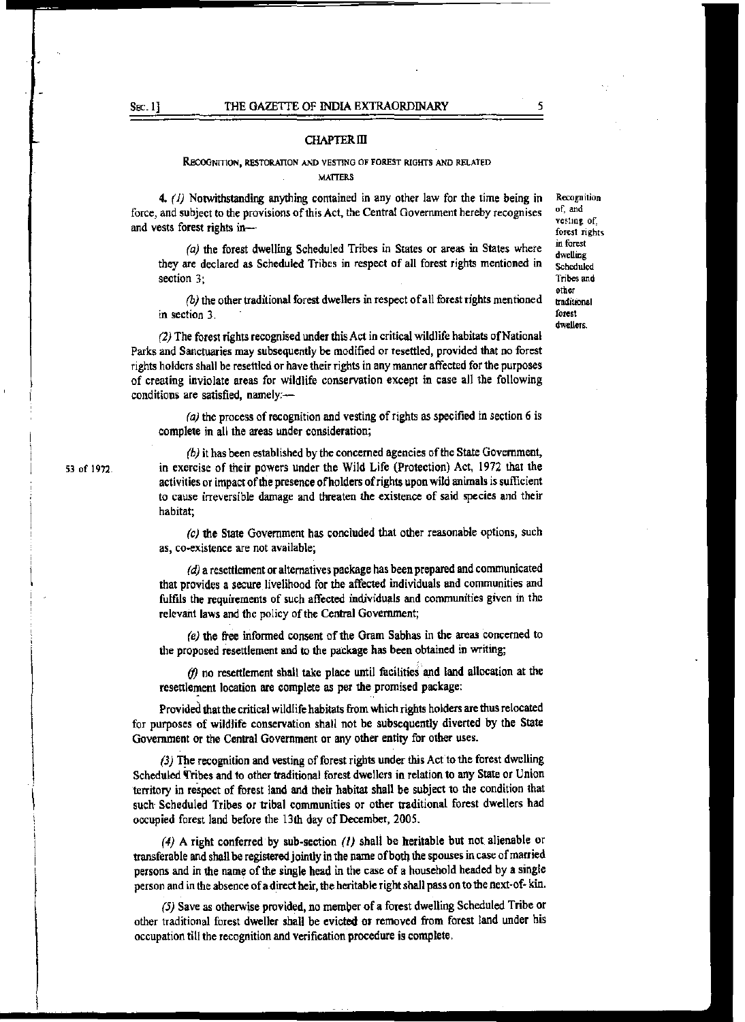#### SEC. 1] THE GAZETTE OF INDIA EXTRAORDINARY

#### CHAPTER ill

#### RECOGNITION, RESTORATION AND VESTING OF FOREST RIGHTS AND RELATED **MATTERS**

4. (1) Notwithstanding anything contained in any other law for the time being in force, and subject to the provisions of this Act. the Central Government hereby recognises and vests forest rights in-

*(a)* the forest dwelling Scheduled Tribes in States or areas in States where they are declared as Scheduled Tribes in respect of all forest rights mentioned in section 3;

*(b)* the other traditional forest dwellers in respect of all forest rights mentioned in section 3.

(2) The forest rights recognised under this Act in critical wildlife habitats of National Parks and Sanctuaries may subsequently be modified or resettled, provided that no forest rights holders shall be resettled or have their rights in any manner affected for the purposes of creating inviolate areas for wildlife conservation except in case all the following conditions are satisfied, namely:-

(a) the process of recognition and vesting of rights as specified in section 6 is complete in all the areas under consideration;

(b) it has been established by the concerned agencies of the State Government, in exercise of their powers under the Wild Life (Protection) Act, 1972 that the activities or impact of the presence of holders of rights upon wild animals is sufficient to cause irreversible damage and threaten the existence of said species and their habitat;

(c) the State Government has concluded that other reasonable options, such as, co-existence are not available;

*(d)* a resettlement or alternatives package has been prepared and communicated that provides a secure livelihood for the affected individuals and communities and fulfils the requirements of such affected individuals and communities given in the relevant laws and the policy of the Central Government;

*(e)* the free informed consent of the Gram Sabhas in the areas concerned to the proposed resettlement and to the package has been obtained in writing;

(f) no resettlement shall take place until facilities and land allocation at the resettlement location are complete as per the promised package:

Provided that the critical wildlife habitats from which rights holders are thus relocated for purposes of wildlife conservation shall not be subsequently diverted by the State Government or the Central Government or any other entity for other uses.

(3) The recognition and vesting of forest rights under this Act to the forest dwelling Scheduled Tribes and to other traditional forest dwellers in relation to any State or Union territory in reSpect of forest land and their habitat shall be subject to the condition that such- Scheduled Tribes or tribal communities or other traditional forest dwellers had occupied forest land before the 13th day of December, 2005.

(4) A right conferred by sub-section (1) shall be heritable but not alienable or transferable and shall be registered jointly in the name of both the spouses in case of married persons and in the name of the single head in the case of a household headed by a single person and in the absence of a direct heir, the heritable right shall pass on to the next-of- kin.

(5) Save as otherwise provided, no member of a forest dwelling Scheduled Tribe or other traditional forest dwe11er shall be evicted or removed from forest land under his occupation till the recognition and verification procedure is complete.

**Recognition** of, and vesting of, forest rights in forest dwelling Scheduled Tribes and other traditional forest dwellers.

*5* 

53 of 1972.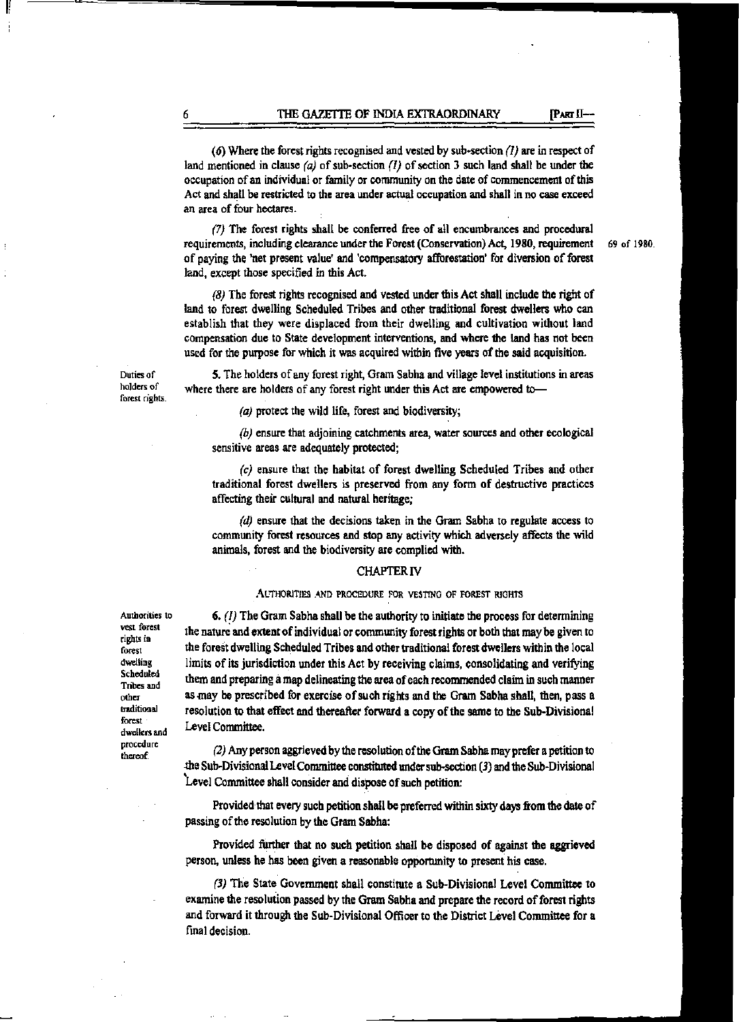(6) Where the forest rights recognised and vested by sub-section {I) are in respect of land mentioned in clause (a) of sub-section (1) of section 3 such land shall be under the occupation of an individual or family or community on the date of commencement of this Act and shall be restricted to the area under actual occupation and shall in no case exceed an area of four hectares.

*(7)* The forest rights shall be conferred free of all encumbrances and procedural requirements, including clearance under the Forest (Conservation) Act, 1980, requirement 69 of 1980. of paying the 'net present value' and 'compensatory afforestation' for diversion of forest land, except those specified in this Act.

(8) The forest rights recognised and vested under this Act shall include the right of land to forest dwelling Scheduled Tribes and other traditional forest dwellers who can establish that they were displaced from their dwelling and cultivation without land compensation due to State development interventions, and where the land has not been used for the purpose for which it was acquired within five years of the said acquisition.

Duties of holders of forest rights.

where there are holders of any forest right under this Act are empowered to--(a) protect the wild life, forest and biodiversity;

sensitive areas are adequately protected;

(b) ensure that adjoining catchments area, water sowces and other ecological

*(c)* ensure that the habitat of forest dwelling Scheduled Tribes and other traditional forest dwellers is preserved from any form of destructive practices affecting their cultural and natural heritage;

5. The holders of any forest right, Gram Sabha and village level institutions in areas

(d) ensure that the decisions taken in the Gram Sabha to regulate access to community forest resources and stop any activity which adversely *affects* the wild animals, forest and the biodiversity are complied with.

#### CHAPTER IV

#### AUTHORITIES AND PROCEDURE FOR VESTING OF FOREST RIGHTS

 $6.$  (1) The Gram Sabha shall be the authority to initiate the process for determining the nature and extent of individual or community forest rights or both that may be given to the forest dwelling Scheduled Tribes and other traditional forest dwellers within the local limits of its jurisdiction under this Act by receiving claims, consolidating and verifying them and preparing a map delineating the area of each recommended claim in such manner as may be prescribed for exercise of such rights and the Gram Sabha shall, then, pass a resolution to that effect and thereafter forward a copy of the same to the Sub-Divisional Level Committee.

*(2)* Any person aggrieved by the resolution of the Gram Sabha may prefer a petition to .the Sub~Divisional Level Committee constituted under sub-section (3) and the Sub~Divisional 'Level Committee shall consider and dispose of such petition:

Provided that every sucb petition shall be preferred within sixty days from the date of passing of the resolution by the Gram Sabha:

Provided further that no such petition shall be disposed of against the aggrieved person. unless he has been given a reasonable opportunity to present his case.

(3) The State Government shall constitute a Sub-Divisiona1 Level Committee to examine the resolution passed by the Gram Sabha and prepare the record of forest rights and forward it through the Sub-Divisional Officer to the District Level Committee for a final decision.

Authorities to vest forest rights in forest dwelling Scheduled Tribes and other lraditiooal forest dwellers and procedure thereof.

1r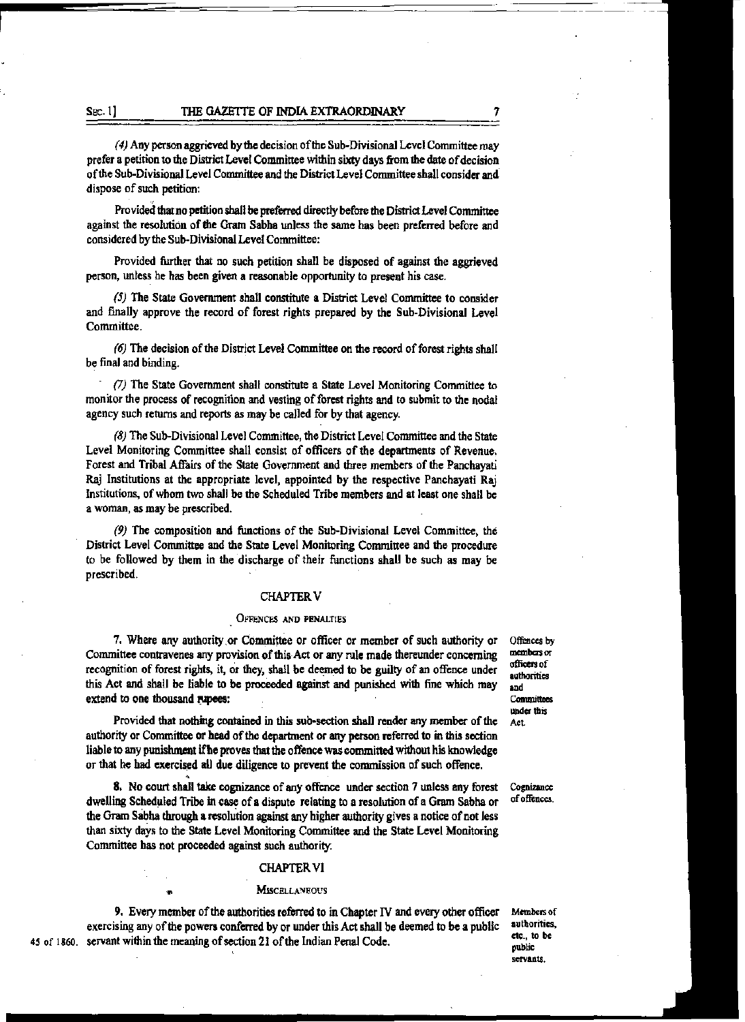*(4)* Any person aggrieved by the decision of the Sub-DivisionaJ Level Committee may prefer a petition to the District Level Committee within sixty days from the date of decision of the Sub-Divisional Level Committee and the District Level Committee shall consider and dispose of such petition:

Provided that no petition shall be preferred directly before the District Level Committee against the resolution of die Gram Sabha unless the same has been preferred before and considered by the Sub-Divisional Level Committee:

Provided further that no such petition shall be disposed of against the aggrieved person, unless he has been given a reasonable opportunity to present his case.

*(5)* The State Government shall constitute a District Level Committee to consider and finally approve the record of forest rights prepared by the Sub-Divisional Level Committee.

(6) The decision of the District Level Committee on the record of forest rights shall be final and binding.

· *(7)* The State Government shall constitute a State Level Monitoring Committee to monitor the process of recognition and vesting of forest rights and to submit to the nodal agency such returns and reports as may be called for by that agency.

(8) The Sub-Divisional Level Committee, the District Level Committee and the State Level Monitoring Committee shall consist of officers of the departments of Revenue. Forest and Tribal Affairs of the State Government and three members of the Panchayati Raj Institutions at the appropriate level, appointed by the respective Panchayati Raj Institutions., of whom two shall be the Scheduled Tribe members and at least one shall be a woman, as may be prescribed.

(9) The composition and functions of the Sub-Divisional Level Committee, the District Level Committee and the State Level Monitoring Committee and the procedure to be followed by them in the discharge of their functions shall be such as may be prescribed.

### **CHAPTER V**

#### OFFENCES AND PENALTIES

7. Where any authority or Committee or officer or member of such authority or Committee contravenes any provision of this Act or any rule made therewider concerning recognition of forest rights, it, or they, shall be deemed to be guilty of an offence under this Act and shall be liable to be proceeded against and punished with fine which may extend to one thousand rupees:

Provided that nothing contained in this sub~section shall render any member of the authority or Committee or head of the department or any person referred to in this section liable to any punishment if he proves that the offence was committed without his knowledge or that he had exercised all due diligence to prevent the commission of such offence.

8. No court shall take cognizance of any offence under section 7 unless any forest dwelling Scheduled Tribe in case of a dispute relating to a resolution of a Gram Sabha or the Gram Sabha through a resolution against any higher authority gives a notice of not less than sixty days to the State Level Monitoring Committee and the State Level Monitoring Committee has not proceeded against such authority.

#### CHAPTER VI

#### **MISCELLANEOUS**

9. Every member of the authorities referred to in Chapter IV and every other officer exercising any of the powers conferred by or under this Act shall be deemed to be a public 45 of 1860. servant within the meaning of section 21 of the Indian Penal Code.

Offences by members or<br>officers of authorities and<br>Committees<br>under this Act.

Cognizance of offences.

Members of authorities, etc., to be public<br>scrvants.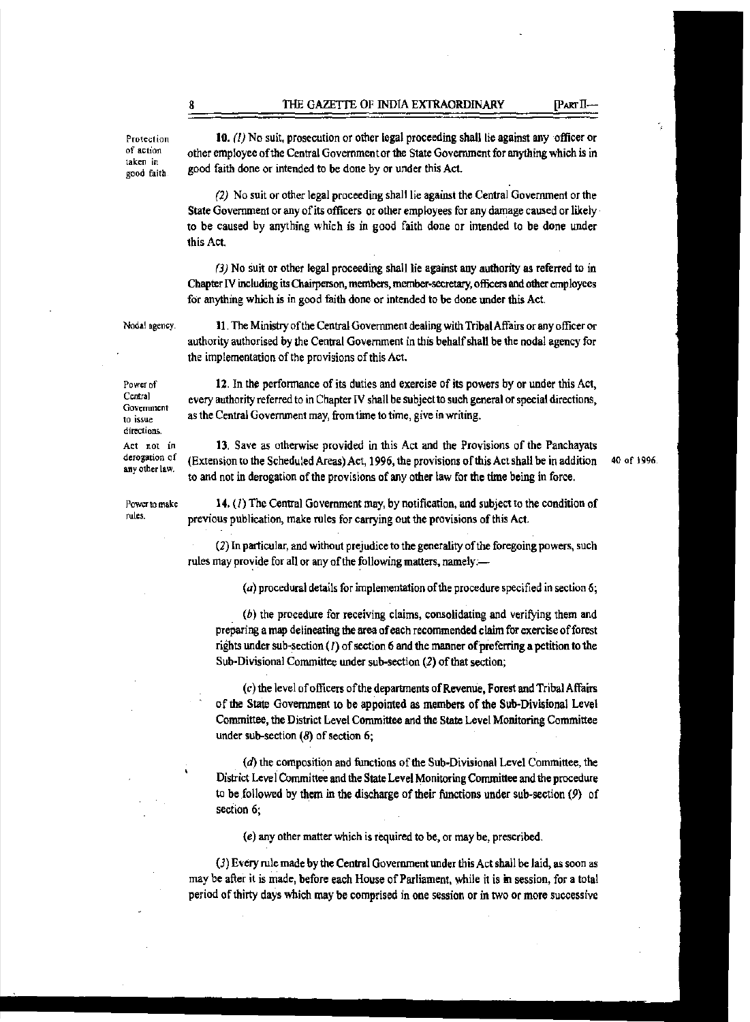Protection of action taken in good faith

10.  $(1)$  No suit, prosecution or other legal proceeding shall lie against any officer or other employee of the Central Government or the State Government for anything which is in good faith done or intended to be done by or under this Act.

(2) No suit or other legal proceeding shall lie against the Central Goverrunent or the State Government or any of its officers or other employees for any damage caused or likely to be caused by anything which is in good faith done or intended to be done under this Act.

*(3)* No suit or other legal proceeding shall lie against any authority *as* referred to in Chapter IV including its Chairperson, members, member·secretary, officers and other employees for anything which is in good faith done or intended to be done under this Act.

Noda! agency.

Power to make rules.

Power of Central Government to issue directions Att not in derogation of any other law.

11. The Ministryofthe Central Government dealing with Tribal Affairs or any officer or authority authorised by the Central Government in this behalf shall be the nodal agency for the implementation of the provisions of this Act.

12. In the performance of its duties and exercise of its powers by or under this Act, every authority referred to in Chapter IV shall be subject to such general or special directions, as the Central Government may, from time to time, give in writing.

13. Save as otherwise provided in this Act and the Provisions of the Panchayats (Extension to the Scheduled Areas) Act, 1996, the provisions of this Act shall be in addition to and not in derogation of the provisions of any other law for the time being in force.

40 of 1996.

14. (1) The Central Government may, by notification, and subject to the condition of previous publication, make rules for carrying out the provisions of this Act.

(2) In particular, and without prejudice to the generality of the foregoing powers, such rules may provide for all or any of the following matters, namely:-

(a) procedural details for implementation of the procedure specified in section 6;

(b) the procedure for receiving claims, consolidating and verifying them and preparing a map delineating the area of each recommended claim for exercise of forest rights under sub-section (1) of section 6 and the manner of preferring a petition to the Sub-Divisional Committee under sub-section (2) of that section;

(c) the level of officers of the departments of Revenue, Forest and Tribal Affairs of the State Government to be appointed as members of the Sub-Divisional Level Committee, the District Level Committee and the State Level Monitoring Committee under sub-section  $(8)$  of section 6;

 $(d)$  the composition and functions of the Sub-Divisional Level Committee, the District Level Committee and the State Level Monitoring Committee and the procedure to be followed by them in the discharge of their functions under sub-section  $(9)$  of section 6;

(e) any other matter which is required to be, or may be, prescribed.

(3) Every rule made by the Central Government under this Act shall be laid, as soon as may be after it is made, before each House of Parliament, while it is in session, for a total period of thirty days which may be comprised in one session or in two or more successive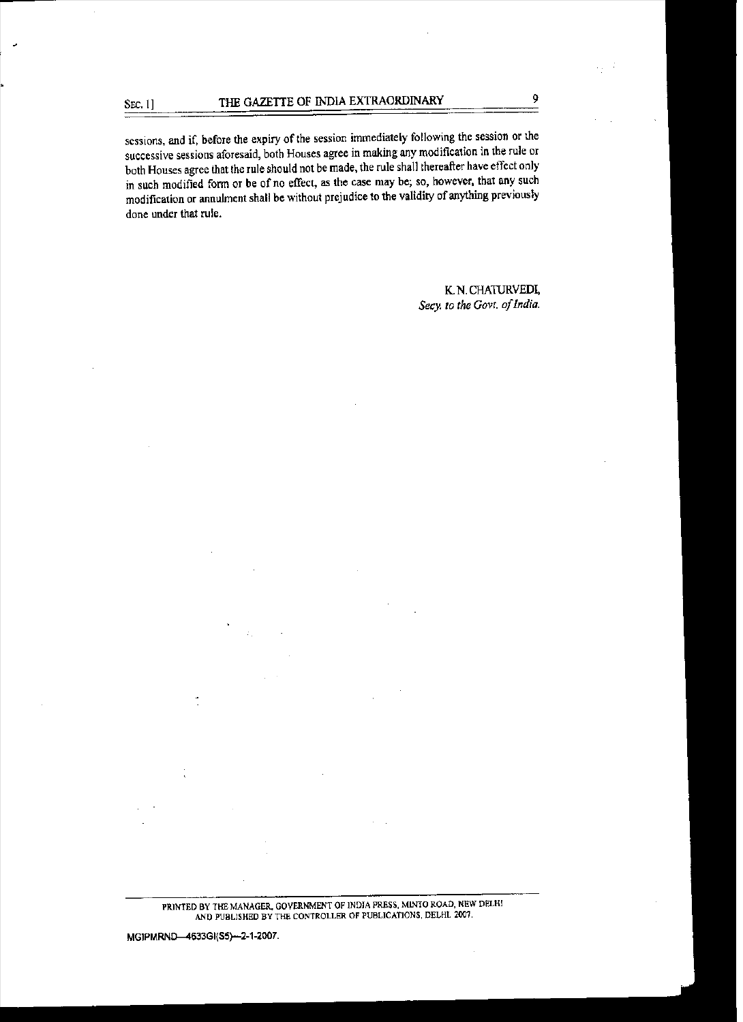sessions, and if, before the expiry of the session immediately following the session or the successive sessions aforesaid, both Houses agree in making any modification in the rule or both Houses agree that the rule should not be made, the rule shall thereafter have effect only in such modified form or be of no effect, as the case may be; so, however, that any such modification or annulment shall be without prejudice to the validity of anything previously done under that rule.

> K. N. CHATIJRVEDI, *Secy. to the Govt. of India.*

MGIPMRND-4633GI(S5)-2-1-2007.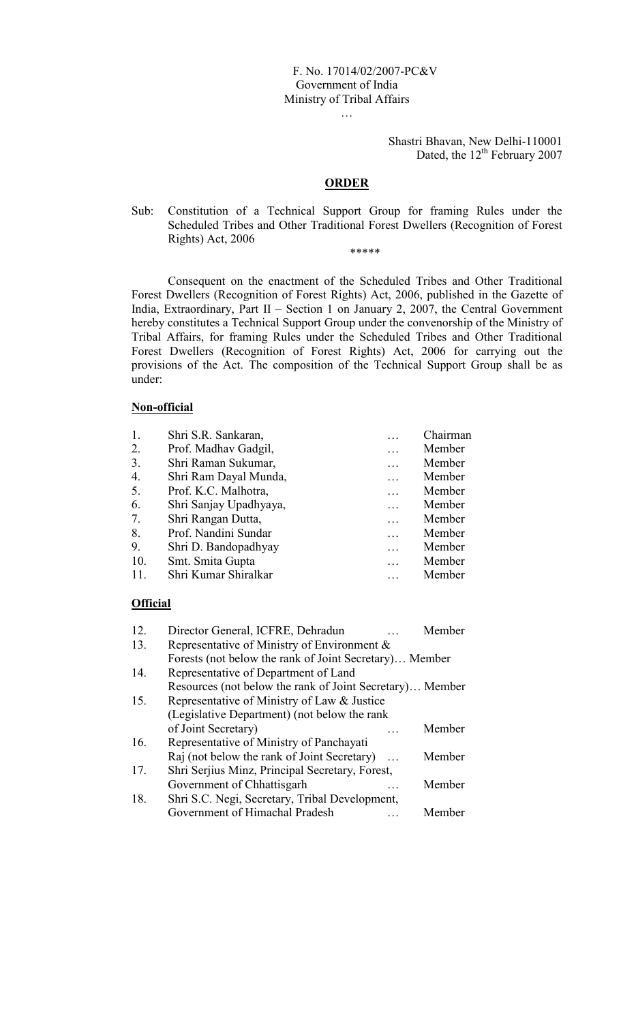# F. No. 17014/02/2007-PC&V Government of India Ministry of Tribal Affairs

Shastri Bhavan, New Delhi-110001 Dated, the 12<sup>th</sup> February 2007

## ORDER

…

Sub: Constitution of a Technical Support Group for framing Rules under the Scheduled Tribes and Other Traditional Forest Dwellers (Recognition of Forest Rights) Act, 2006

\*\*\*\*\*

Consequent on the enactment of the Scheduled Tribes and Other Traditional Forest Dwellers (Recognition of Forest Rights) Act, 2006, published in the Gazette of India, Extraordinary, Part II – Section 1 on January 2, 2007, the Central Government hereby constitutes a Technical Support Group under the convenorship of the Ministry of Tribal Affairs, for framing Rules under the Scheduled Tribes and Other Traditional Forest Dwellers (Recognition of Forest Rights) Act, 2006 for carrying out the provisions of the Act. The composition of the Technical Support Group shall be as under:

## Non-official

| 1.  | Shri S.R. Sankaran,    | Chairman |
|-----|------------------------|----------|
| 2.  | Prof. Madhav Gadgil,   | Member   |
| 3.  | Shri Raman Sukumar,    | Member   |
| 4.  | Shri Ram Dayal Munda,  | Member   |
| 5.  | Prof. K.C. Malhotra,   | Member   |
| 6.  | Shri Sanjay Upadhyaya, | Member   |
| 7.  | Shri Rangan Dutta,     | Member   |
| 8.  | Prof. Nandini Sundar   | Member   |
| 9.  | Shri D. Bandopadhyay   | Member   |
| 10. | Smt. Smita Gupta       | Member   |
| 11. | Shri Kumar Shiralkar   | Member   |

## **Official**

| 12. | Director General, ICFRE, Dehradun                        | Member |  |  |  |
|-----|----------------------------------------------------------|--------|--|--|--|
| 13. | Representative of Ministry of Environment &              |        |  |  |  |
|     | Forests (not below the rank of Joint Secretary) Member   |        |  |  |  |
| 14. | Representative of Department of Land                     |        |  |  |  |
|     | Resources (not below the rank of Joint Secretary) Member |        |  |  |  |
| 15. | Representative of Ministry of Law & Justice              |        |  |  |  |
|     | (Legislative Department) (not below the rank             |        |  |  |  |
|     | of Joint Secretary)                                      | Member |  |  |  |
| 16. | Representative of Ministry of Panchayati                 |        |  |  |  |
|     | Raj (not below the rank of Joint Secretary)<br>$\ddotsc$ | Member |  |  |  |
| 17. | Shri Serjius Minz, Principal Secretary, Forest,          |        |  |  |  |
|     | Government of Chhattisgarh                               | Member |  |  |  |
| 18. | Shri S.C. Negi, Secretary, Tribal Development,           |        |  |  |  |
|     | Government of Himachal Pradesh                           | Member |  |  |  |
|     |                                                          |        |  |  |  |